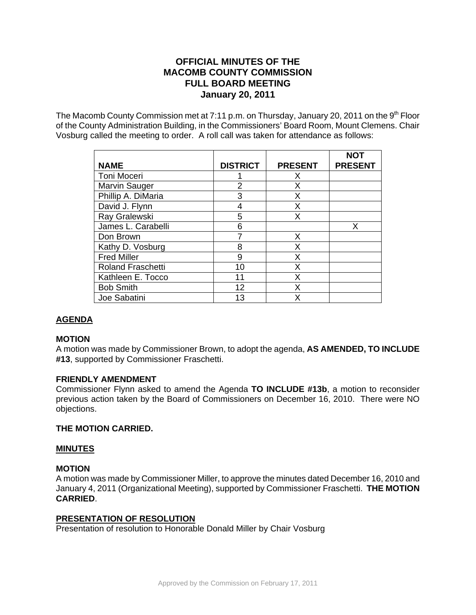# **OFFICIAL MINUTES OF THE MACOMB COUNTY COMMISSION FULL BOARD MEETING January 20, 2011**

The Macomb County Commission met at 7:11 p.m. on Thursday, January 20, 2011 on the  $9<sup>th</sup>$  Floor of the County Administration Building, in the Commissioners' Board Room, Mount Clemens. Chair Vosburg called the meeting to order. A roll call was taken for attendance as follows:

|                          |                 |                | <b>NOT</b>     |
|--------------------------|-----------------|----------------|----------------|
| <b>NAME</b>              | <b>DISTRICT</b> | <b>PRESENT</b> | <b>PRESENT</b> |
| Toni Moceri              |                 | X              |                |
| Marvin Sauger            | 2               | X              |                |
| Phillip A. DiMaria       | 3               | X              |                |
| David J. Flynn           | 4               | X              |                |
| Ray Gralewski            | 5               | Х              |                |
| James L. Carabelli       | 6               |                | X              |
| Don Brown                |                 | X              |                |
| Kathy D. Vosburg         | 8               | Х              |                |
| <b>Fred Miller</b>       | 9               | X              |                |
| <b>Roland Fraschetti</b> | 10              | Χ              |                |
| Kathleen E. Tocco        | 11              | X              |                |
| <b>Bob Smith</b>         | 12              | x              |                |
| Joe Sabatini             | 13              | X              |                |

## **AGENDA**

## **MOTION**

A motion was made by Commissioner Brown, to adopt the agenda, **AS AMENDED, TO INCLUDE #13**, supported by Commissioner Fraschetti.

## **FRIENDLY AMENDMENT**

Commissioner Flynn asked to amend the Agenda **TO INCLUDE #13b**, a motion to reconsider previous action taken by the Board of Commissioners on December 16, 2010. There were NO objections.

## **THE MOTION CARRIED.**

## **MINUTES**

## **MOTION**

A motion was made by Commissioner Miller, to approve the minutes dated December 16, 2010 and January 4, 2011 (Organizational Meeting), supported by Commissioner Fraschetti. **THE MOTION CARRIED**.

## **PRESENTATION OF RESOLUTION**

Presentation of resolution to Honorable Donald Miller by Chair Vosburg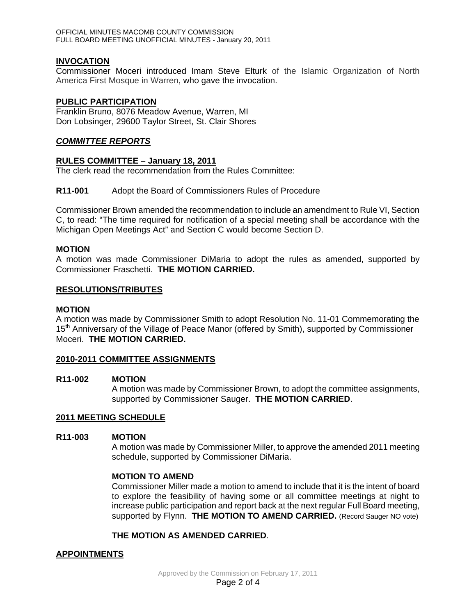## **INVOCATION**

Commissioner Moceri introduced Imam Steve Elturk of the Islamic Organization of North America First Mosque in Warren, who gave the invocation.

### **PUBLIC PARTICIPATION**

Franklin Bruno, 8076 Meadow Avenue, Warren, MI Don Lobsinger, 29600 Taylor Street, St. Clair Shores

### *COMMITTEE REPORTS*

## **RULES COMMITTEE – January 18, 2011**

The clerk read the recommendation from the Rules Committee:

## **R11-001** Adopt the Board of Commissioners Rules of Procedure

Commissioner Brown amended the recommendation to include an amendment to Rule VI, Section C, to read: "The time required for notification of a special meeting shall be accordance with the Michigan Open Meetings Act" and Section C would become Section D.

## **MOTION**

A motion was made Commissioner DiMaria to adopt the rules as amended, supported by Commissioner Fraschetti. **THE MOTION CARRIED.** 

#### **RESOLUTIONS/TRIBUTES**

#### **MOTION**

A motion was made by Commissioner Smith to adopt Resolution No. 11-01 Commemorating the 15<sup>th</sup> Anniversary of the Village of Peace Manor (offered by Smith), supported by Commissioner Moceri. **THE MOTION CARRIED.** 

#### **2010-2011 COMMITTEE ASSIGNMENTS**

#### **R11-002 MOTION**

A motion was made by Commissioner Brown, to adopt the committee assignments, supported by Commissioner Sauger. **THE MOTION CARRIED**.

#### **2011 MEETING SCHEDULE**

#### **R11-003 MOTION**

A motion was made by Commissioner Miller, to approve the amended 2011 meeting schedule, supported by Commissioner DiMaria.

## **MOTION TO AMEND**

Commissioner Miller made a motion to amend to include that it is the intent of board to explore the feasibility of having some or all committee meetings at night to increase public participation and report back at the next regular Full Board meeting, supported by Flynn. **THE MOTION TO AMEND CARRIED.** (Record Sauger NO vote)

## **THE MOTION AS AMENDED CARRIED.**

## **APPOINTMENTS**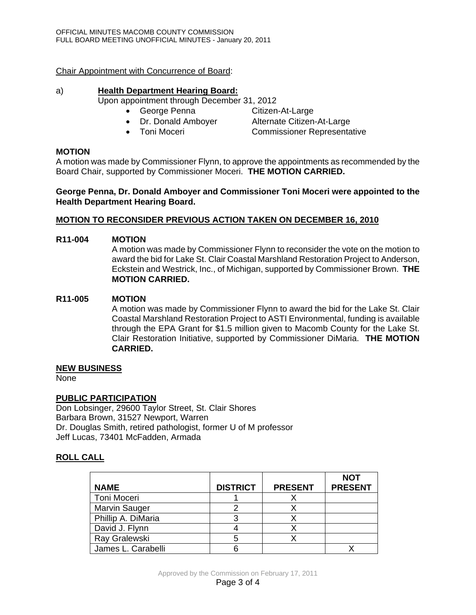Chair Appointment with Concurrence of Board:

## a) **Health Department Hearing Board:**

Upon appointment through December 31, 2012

- George Penna Citizen-At-Large
	-
- Dr. Donald Amboyer Alternate Citizen-At-Large
- Toni Moceri Commissioner Representative

## **MOTION**

A motion was made by Commissioner Flynn, to approve the appointments as recommended by the Board Chair, supported by Commissioner Moceri. **THE MOTION CARRIED.** 

## **George Penna, Dr. Donald Amboyer and Commissioner Toni Moceri were appointed to the Health Department Hearing Board.**

## **MOTION TO RECONSIDER PREVIOUS ACTION TAKEN ON DECEMBER 16, 2010**

## **R11-004 MOTION**

A motion was made by Commissioner Flynn to reconsider the vote on the motion to award the bid for Lake St. Clair Coastal Marshland Restoration Project to Anderson, Eckstein and Westrick, Inc., of Michigan, supported by Commissioner Brown. **THE MOTION CARRIED.** 

## **R11-005 MOTION**

A motion was made by Commissioner Flynn to award the bid for the Lake St. Clair Coastal Marshland Restoration Project to ASTI Environmental, funding is available through the EPA Grant for \$1.5 million given to Macomb County for the Lake St. Clair Restoration Initiative, supported by Commissioner DiMaria. **THE MOTION CARRIED.** 

## **NEW BUSINESS**

None

## **PUBLIC PARTICIPATION**

Don Lobsinger, 29600 Taylor Street, St. Clair Shores Barbara Brown, 31527 Newport, Warren Dr. Douglas Smith, retired pathologist, former U of M professor Jeff Lucas, 73401 McFadden, Armada

## **ROLL CALL**

|                      |                 |                | <b>NOT</b>     |
|----------------------|-----------------|----------------|----------------|
| <b>NAME</b>          | <b>DISTRICT</b> | <b>PRESENT</b> | <b>PRESENT</b> |
| Toni Moceri          |                 |                |                |
| <b>Marvin Sauger</b> |                 |                |                |
| Phillip A. DiMaria   |                 |                |                |
| David J. Flynn       |                 |                |                |
| Ray Gralewski        |                 |                |                |
| James L. Carabelli   |                 |                |                |